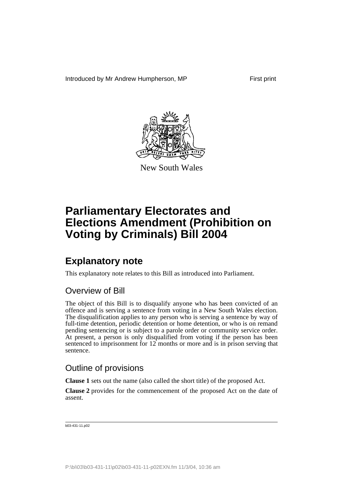Introduced by Mr Andrew Humpherson, MP First print



New South Wales

# **Parliamentary Electorates and Elections Amendment (Prohibition on Voting by Criminals) Bill 2004**

## **Explanatory note**

This explanatory note relates to this Bill as introduced into Parliament.

## Overview of Bill

The object of this Bill is to disqualify anyone who has been convicted of an offence and is serving a sentence from voting in a New South Wales election. The disqualification applies to any person who is serving a sentence by way of full-time detention, periodic detention or home detention, or who is on remand pending sentencing or is subject to a parole order or community service order. At present, a person is only disqualified from voting if the person has been sentenced to imprisonment for 12 months or more and is in prison serving that sentence.

### Outline of provisions

**Clause 1** sets out the name (also called the short title) of the proposed Act.

**Clause 2** provides for the commencement of the proposed Act on the date of assent.

b03-431-11.p02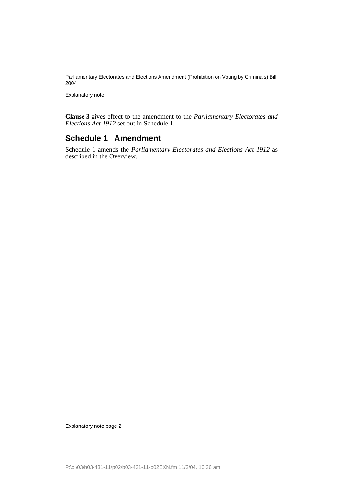Parliamentary Electorates and Elections Amendment (Prohibition on Voting by Criminals) Bill 2004

Explanatory note

**Clause 3** gives effect to the amendment to the *Parliamentary Electorates and Elections Act 1912* set out in Schedule 1.

#### **Schedule 1 Amendment**

Schedule 1 amends the *Parliamentary Electorates and Elections Act 1912* as described in the Overview.

Explanatory note page 2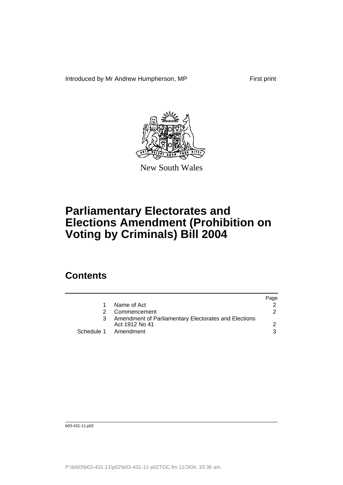Introduced by Mr Andrew Humpherson, MP First print



New South Wales

# **Parliamentary Electorates and Elections Amendment (Prohibition on Voting by Criminals) Bill 2004**

## **Contents**

|                                                                        | Page                 |
|------------------------------------------------------------------------|----------------------|
| Name of Act                                                            |                      |
| Commencement                                                           | 2                    |
| Amendment of Parliamentary Electorates and Elections<br>Act 1912 No 41 |                      |
|                                                                        | 3                    |
|                                                                        | Schedule 1 Amendment |

b03-431-11.p02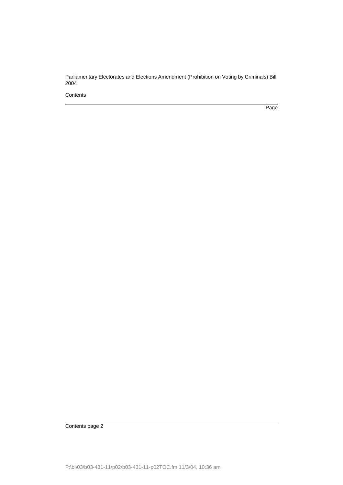Parliamentary Electorates and Elections Amendment (Prohibition on Voting by Criminals) Bill 2004

**Contents** 

Page

Contents page 2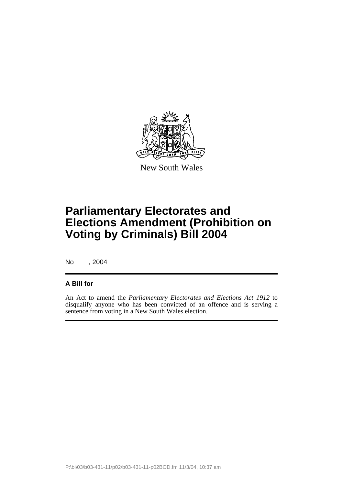

New South Wales

# **Parliamentary Electorates and Elections Amendment (Prohibition on Voting by Criminals) Bill 2004**

No , 2004

#### **A Bill for**

An Act to amend the *Parliamentary Electorates and Elections Act 1912* to disqualify anyone who has been convicted of an offence and is serving a sentence from voting in a New South Wales election.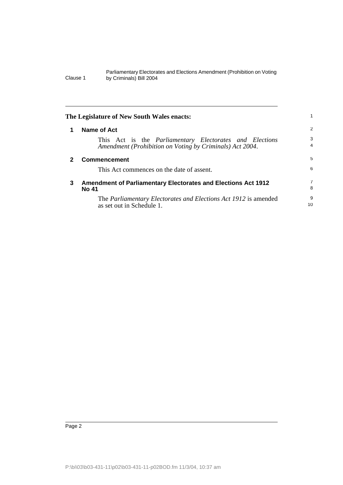#### Parliamentary Electorates and Elections Amendment (Prohibition on Voting Clause 1 by Criminals) Bill 2004

| The Legislature of New South Wales enacts: |                                                                                                                            |                     |
|--------------------------------------------|----------------------------------------------------------------------------------------------------------------------------|---------------------|
| 1                                          | <b>Name of Act</b>                                                                                                         | -2                  |
|                                            | This Act is the <i>Parliamentary Electorates and Elections</i><br>Amendment (Prohibition on Voting by Criminals) Act 2004. | 3<br>$\overline{4}$ |
| $\mathbf{2}$                               | <b>Commencement</b>                                                                                                        | 5                   |
|                                            | This Act commences on the date of assent.                                                                                  | 6                   |
| 3                                          | <b>Amendment of Parliamentary Electorates and Elections Act 1912</b><br><b>No 41</b>                                       | 7<br>8              |
|                                            | The <i>Parliamentary Electorates and Elections Act 1912</i> is amended<br>as set out in Schedule 1.                        | 9<br>10             |